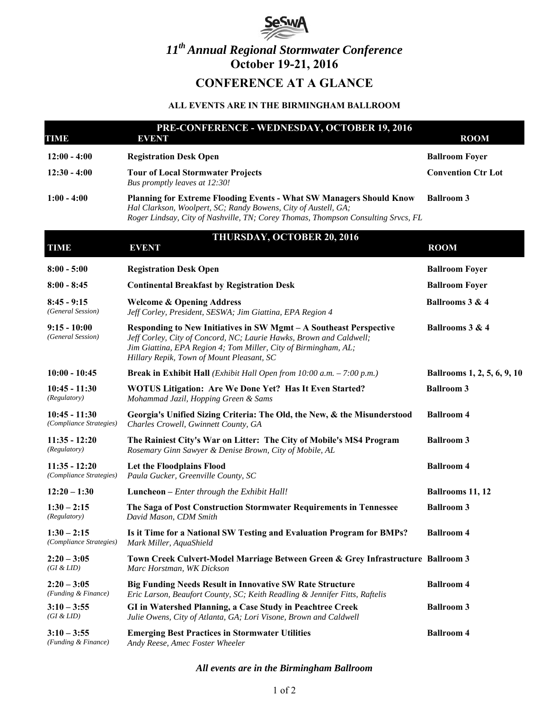

# *11th Annual Regional Stormwater Conference*  **October 19-21, 2016**

# **CONFERENCE AT A GLANCE**

#### **ALL EVENTS ARE IN THE BIRMINGHAM BALLROOM**

| TIME                                       | PRE-CONFERENCE - WEDNESDAY, OCTOBER 19, 2016<br><b>EVENT</b>                                                                                                                                                                                              | <b>ROOM</b>                 |
|--------------------------------------------|-----------------------------------------------------------------------------------------------------------------------------------------------------------------------------------------------------------------------------------------------------------|-----------------------------|
| $12:00 - 4:00$                             | <b>Registration Desk Open</b>                                                                                                                                                                                                                             | <b>Ballroom Foyer</b>       |
| $12:30 - 4:00$                             | <b>Tour of Local Stormwater Projects</b><br>Bus promptly leaves at 12:30!                                                                                                                                                                                 | <b>Convention Ctr Lot</b>   |
| $1:00 - 4:00$                              | Planning for Extreme Flooding Events - What SW Managers Should Know<br>Hal Clarkson, Woolpert, SC; Randy Bowens, City of Austell, GA;<br>Roger Lindsay, City of Nashville, TN; Corey Thomas, Thompson Consulting Srvcs, FL                                | <b>Ballroom 3</b>           |
| TIME                                       | THURSDAY, OCTOBER 20, 2016<br><b>EVENT</b>                                                                                                                                                                                                                | <b>ROOM</b>                 |
| $8:00 - 5:00$                              | <b>Registration Desk Open</b>                                                                                                                                                                                                                             | <b>Ballroom Foyer</b>       |
| $8:00 - 8:45$                              | <b>Continental Breakfast by Registration Desk</b>                                                                                                                                                                                                         | <b>Ballroom Foyer</b>       |
| $8:45 - 9:15$<br>(General Session)         | <b>Welcome &amp; Opening Address</b><br>Jeff Corley, President, SESWA; Jim Giattina, EPA Region 4                                                                                                                                                         | Ballrooms 3 & 4             |
| $9:15 - 10:00$<br>(General Session)        | Responding to New Initiatives in SW Mgmt - A Southeast Perspective<br>Jeff Corley, City of Concord, NC; Laurie Hawks, Brown and Caldwell;<br>Jim Giattina, EPA Region 4; Tom Miller, City of Birmingham, AL;<br>Hillary Repik, Town of Mount Pleasant, SC | Ballrooms 3 & 4             |
| $10:00 - 10:45$                            | <b>Break in Exhibit Hall</b> ( <i>Exhibit Hall Open from 10:00 a.m.</i> $- 7:00 p.m.$ )                                                                                                                                                                   | Ballrooms 1, 2, 5, 6, 9, 10 |
| $10:45 - 11:30$<br>(Regulatory)            | WOTUS Litigation: Are We Done Yet? Has It Even Started?<br>Mohammad Jazil, Hopping Green & Sams                                                                                                                                                           | <b>Ballroom 3</b>           |
| $10:45 - 11:30$<br>(Compliance Strategies) | Georgia's Unified Sizing Criteria: The Old, the New, & the Misunderstood<br>Charles Crowell, Gwinnett County, GA                                                                                                                                          | <b>Ballroom 4</b>           |
| $11:35 - 12:20$<br>(Regulatory)            | The Rainiest City's War on Litter: The City of Mobile's MS4 Program<br>Rosemary Ginn Sawyer & Denise Brown, City of Mobile, AL                                                                                                                            | <b>Ballroom 3</b>           |
| $11:35 - 12:20$<br>(Compliance Strategies) | Let the Floodplains Flood<br>Paula Gucker, Greenville County, SC                                                                                                                                                                                          | <b>Ballroom 4</b>           |
| $12:20 - 1:30$                             | <b>Luncheon</b> – Enter through the Exhibit Hall!                                                                                                                                                                                                         | <b>Ballrooms 11, 12</b>     |
| $1:30 - 2:15$<br>(Regulatory)              | The Saga of Post Construction Stormwater Requirements in Tennessee<br>David Mason, CDM Smith                                                                                                                                                              | <b>Ballroom 3</b>           |
| $1:30 - 2:15$<br>(Compliance Strategies)   | Is it Time for a National SW Testing and Evaluation Program for BMPs?<br>Mark Miller, AquaShield                                                                                                                                                          | <b>Ballroom 4</b>           |
| $2:20 - 3:05$<br>(GI & LID)                | Town Creek Culvert-Model Marriage Between Green & Grey Infrastructure Ballroom 3<br>Marc Horstman, WK Dickson                                                                                                                                             |                             |
| $2:20 - 3:05$<br>(Funding & Finance)       | <b>Big Funding Needs Result in Innovative SW Rate Structure</b><br>Eric Larson, Beaufort County, SC; Keith Readling & Jennifer Fitts, Raftelis                                                                                                            | <b>Ballroom 4</b>           |
| $3:10 - 3:55$<br>(GI & LID)                | GI in Watershed Planning, a Case Study in Peachtree Creek<br>Julie Owens, City of Atlanta, GA; Lori Visone, Brown and Caldwell                                                                                                                            | <b>Ballroom 3</b>           |
| $3:10 - 3:55$<br>(Funding & Finance)       | <b>Emerging Best Practices in Stormwater Utilities</b><br>Andy Reese, Amec Foster Wheeler                                                                                                                                                                 | <b>Ballroom 4</b>           |

*All events are in the Birmingham Ballroom*